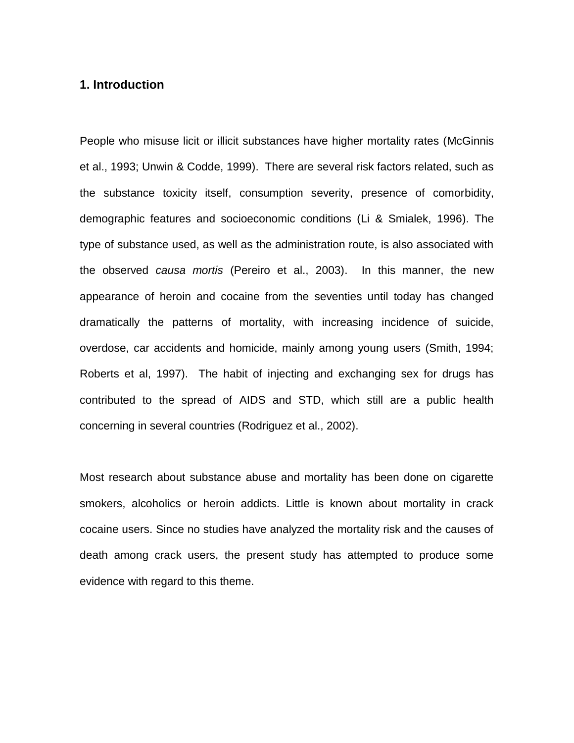# **1. Introduction**

People who misuse licit or illicit substances have higher mortality rates (McGinnis et al., 1993; Unwin & Codde, 1999). There are several risk factors related, such as the substance toxicity itself, consumption severity, presence of comorbidity, demographic features and socioeconomic conditions (Li & Smialek, 1996). The type of substance used, as well as the administration route, is also associated with the observed *causa mortis* (Pereiro et al., 2003). In this manner, the new appearance of heroin and cocaine from the seventies until today has changed dramatically the patterns of mortality, with increasing incidence of suicide, overdose, car accidents and homicide, mainly among young users (Smith, 1994; Roberts et al, 1997). The habit of injecting and exchanging sex for drugs has contributed to the spread of AIDS and STD, which still are a public health concerning in several countries (Rodriguez et al., 2002).

Most research about substance abuse and mortality has been done on cigarette smokers, alcoholics or heroin addicts. Little is known about mortality in crack cocaine users. Since no studies have analyzed the mortality risk and the causes of death among crack users, the present study has attempted to produce some evidence with regard to this theme.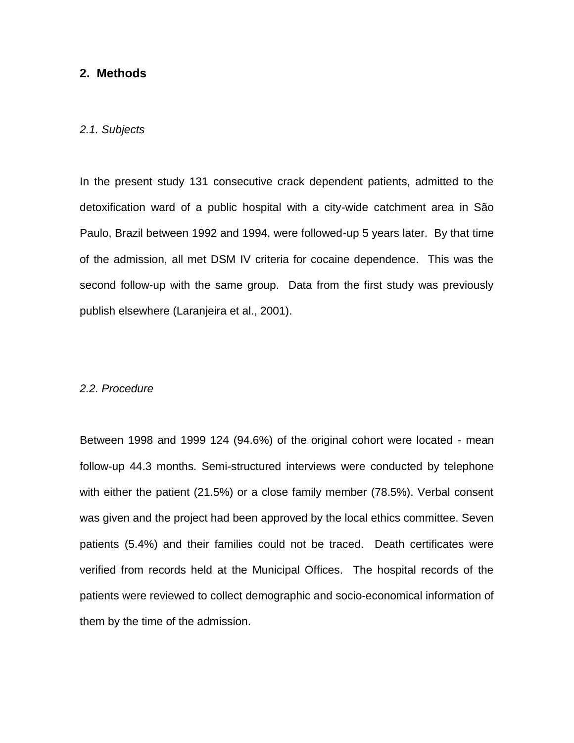## **2. Methods**

## *2.1. Subjects*

In the present study 131 consecutive crack dependent patients, admitted to the detoxification ward of a public hospital with a city-wide catchment area in São Paulo, Brazil between 1992 and 1994, were followed-up 5 years later. By that time of the admission, all met DSM IV criteria for cocaine dependence. This was the second follow-up with the same group. Data from the first study was previously publish elsewhere (Laranjeira et al., 2001).

### *2.2. Procedure*

Between 1998 and 1999 124 (94.6%) of the original cohort were located - mean follow-up 44.3 months. Semi-structured interviews were conducted by telephone with either the patient (21.5%) or a close family member (78.5%). Verbal consent was given and the project had been approved by the local ethics committee. Seven patients (5.4%) and their families could not be traced. Death certificates were verified from records held at the Municipal Offices. The hospital records of the patients were reviewed to collect demographic and socio-economical information of them by the time of the admission.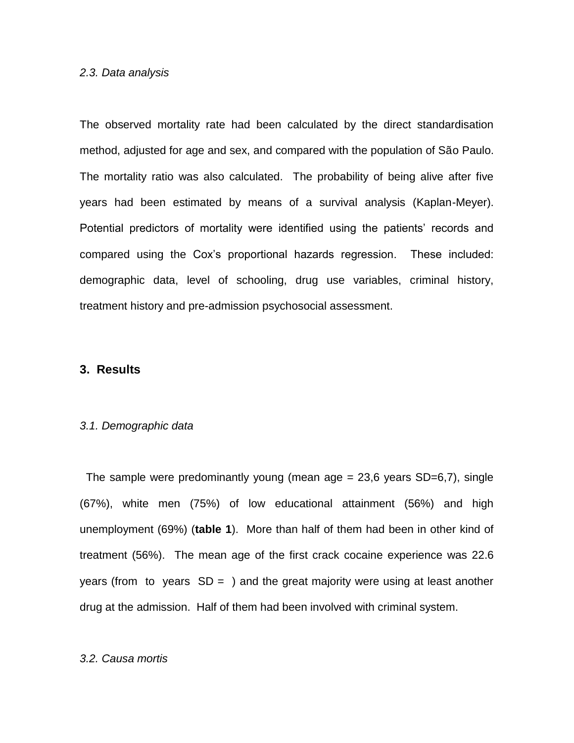### *2.3. Data analysis*

The observed mortality rate had been calculated by the direct standardisation method, adjusted for age and sex, and compared with the population of São Paulo. The mortality ratio was also calculated. The probability of being alive after five years had been estimated by means of a survival analysis (Kaplan-Meyer). Potential predictors of mortality were identified using the patients' records and compared using the Cox's proportional hazards regression. These included: demographic data, level of schooling, drug use variables, criminal history, treatment history and pre-admission psychosocial assessment.

## **3. Results**

#### *3.1. Demographic data*

The sample were predominantly young (mean  $age = 23.6$  years  $SD=6.7$ ), single (67%), white men (75%) of low educational attainment (56%) and high unemployment (69%) (**table 1**). More than half of them had been in other kind of treatment (56%). The mean age of the first crack cocaine experience was 22.6 years (from to years  $SD = 1$ ) and the great majority were using at least another drug at the admission. Half of them had been involved with criminal system.

### *3.2. Causa mortis*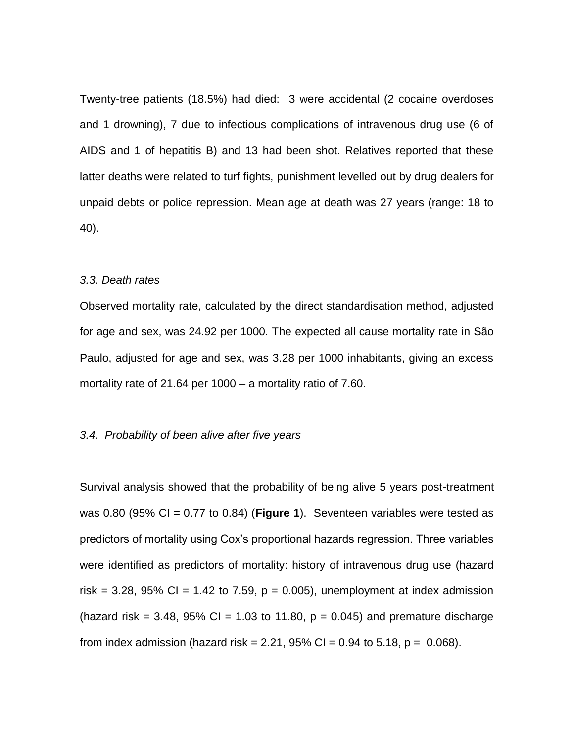Twenty-tree patients (18.5%) had died: 3 were accidental (2 cocaine overdoses and 1 drowning), 7 due to infectious complications of intravenous drug use (6 of AIDS and 1 of hepatitis B) and 13 had been shot. Relatives reported that these latter deaths were related to turf fights, punishment levelled out by drug dealers for unpaid debts or police repression. Mean age at death was 27 years (range: 18 to 40).

#### *3.3. Death rates*

Observed mortality rate, calculated by the direct standardisation method, adjusted for age and sex, was 24.92 per 1000. The expected all cause mortality rate in São Paulo, adjusted for age and sex, was 3.28 per 1000 inhabitants, giving an excess mortality rate of 21.64 per 1000 – a mortality ratio of 7.60.

## *3.4. Probability of been alive after five years*

Survival analysis showed that the probability of being alive 5 years post-treatment was 0.80 (95% CI = 0.77 to 0.84) (**Figure 1**). Seventeen variables were tested as predictors of mortality using Cox's proportional hazards regression. Three variables were identified as predictors of mortality: history of intravenous drug use (hazard risk = 3.28, 95% CI = 1.42 to 7.59,  $p = 0.005$ ), unemployment at index admission (hazard risk = 3.48, 95% CI = 1.03 to 11.80,  $p = 0.045$ ) and premature discharge from index admission (hazard risk = 2.21, 95% CI = 0.94 to 5.18,  $p = 0.068$ ).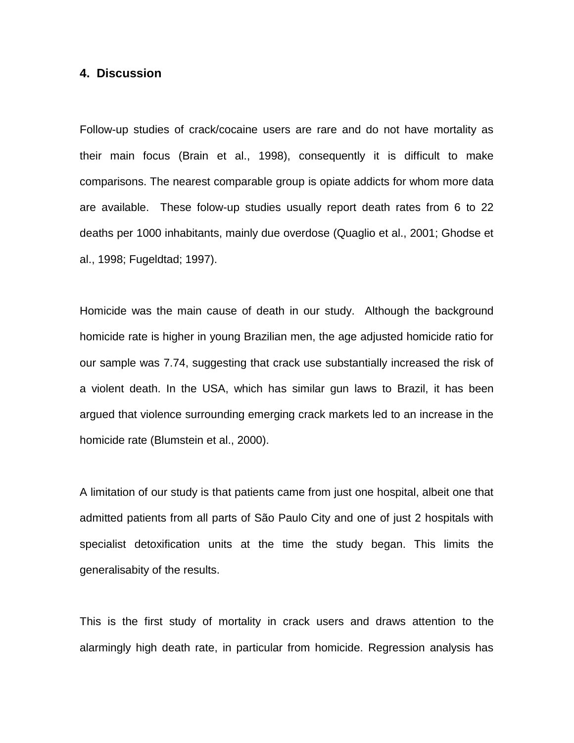## **4. Discussion**

Follow-up studies of crack/cocaine users are rare and do not have mortality as their main focus (Brain et al., 1998), consequently it is difficult to make comparisons. The nearest comparable group is opiate addicts for whom more data are available. These folow-up studies usually report death rates from 6 to 22 deaths per 1000 inhabitants, mainly due overdose (Quaglio et al., 2001; Ghodse et al., 1998; Fugeldtad; 1997).

Homicide was the main cause of death in our study. Although the background homicide rate is higher in young Brazilian men, the age adjusted homicide ratio for our sample was 7.74, suggesting that crack use substantially increased the risk of a violent death. In the USA, which has similar gun laws to Brazil, it has been argued that violence surrounding emerging crack markets led to an increase in the homicide rate (Blumstein et al., 2000).

A limitation of our study is that patients came from just one hospital, albeit one that admitted patients from all parts of São Paulo City and one of just 2 hospitals with specialist detoxification units at the time the study began. This limits the generalisabity of the results.

This is the first study of mortality in crack users and draws attention to the alarmingly high death rate, in particular from homicide. Regression analysis has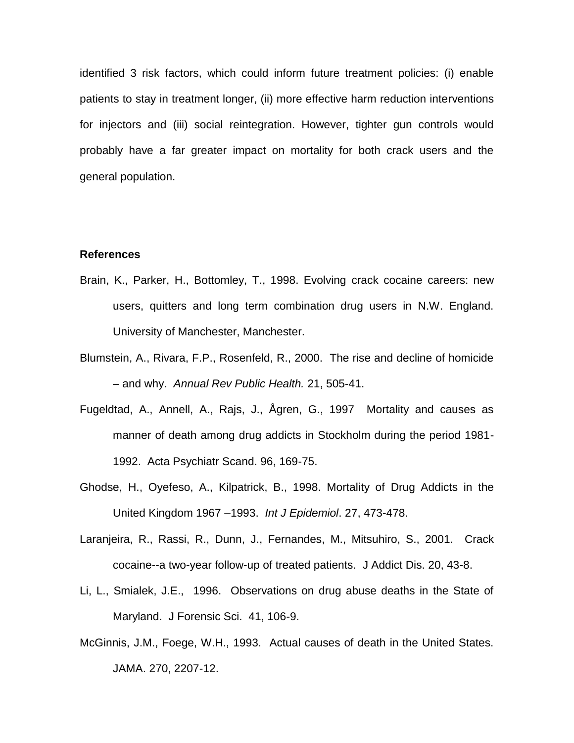identified 3 risk factors, which could inform future treatment policies: (i) enable patients to stay in treatment longer, (ii) more effective harm reduction interventions for injectors and (iii) social reintegration. However, tighter gun controls would probably have a far greater impact on mortality for both crack users and the general population.

### **References**

- Brain, K., Parker, H., Bottomley, T., 1998. Evolving crack cocaine careers: new users, quitters and long term combination drug users in N.W. England. University of Manchester, Manchester.
- Blumstein, A., Rivara, F.P., Rosenfeld, R., 2000. The rise and decline of homicide – and why. *Annual Rev Public Health.* 21, 505-41.
- Fugeldtad, A., Annell, A., Rajs, J., Ågren, G., 1997 Mortality and causes as manner of death among drug addicts in Stockholm during the period 1981- 1992. Acta Psychiatr Scand. 96, 169-75.
- Ghodse, H., Oyefeso, A., Kilpatrick, B., 1998. Mortality of Drug Addicts in the United Kingdom 1967 –1993. *Int J Epidemiol*. 27, 473-478.
- Laranjeira, R., Rassi, R., Dunn, J., Fernandes, M., Mitsuhiro, S., 2001. Crack cocaine--a two-year follow-up of treated patients. J Addict Dis. 20, 43-8.
- Li, L., Smialek, J.E., 1996. Observations on drug abuse deaths in the State of Maryland. J Forensic Sci. 41, 106-9.
- McGinnis, J.M., Foege, W.H., 1993. Actual causes of death in the United States. JAMA. 270, 2207-12.